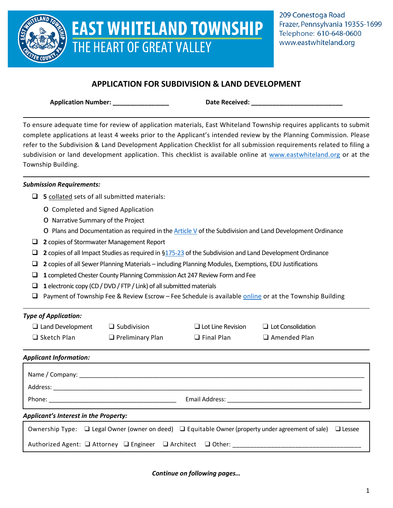

# **EAST WHITELAND TOWNSHIP** THE HEART OF GREAT VALLEY

# **APPLICATION FOR SUBDIVISION & LAND DEVELOPMENT**

**Application Number: \_\_\_\_\_\_\_\_\_\_\_\_\_\_\_\_ Date Received: \_\_\_\_\_\_\_\_\_\_\_\_\_\_\_\_\_\_\_\_\_\_\_\_\_\_**

To ensure adequate time for review of application materials, East Whiteland Township requires applicants to submit complete applications at least 4 weeks prior to the Applicant's intended review by the Planning Commission. Please refer to the Subdivision & Land Development Application Checklist for all submission requirements related to filing a subdivision or land development application. This checklist is available online at [www.eastwhiteland.org](http://www.eastwhiteland.org/) or at the Township Building.

# *Submission Requirements:*

- **5** collated sets of all submitted materials:
	- o Completed and Signed Application
	- o Narrative Summary of the Project
	- $\circ$  Plans and Documentation as required in th[e Article V](https://ecode360.com/6756192) of the Subdivision and Land Development Ordinance
- **2** copies of Stormwater Management Report
- **2** copies of all Impact Studies as required in [§175-23](https://ecode360.com/6756267#6756267) of the Subdivision and Land Development Ordinance
- **2** copies of all Sewer Planning Materials including Planning Modules, Exemptions, EDU Justifications
- **1** completed Chester County Planning Commission Act 247 Review Form and Fee
- **1** electronic copy (CD / DVD / FTP / Link) of all submitted materials
- **D** Payment of Township Fee & Review Escrow Fee Schedule is available [online](http://www.eastwhiteland.org/) or at the Township Building

# *Type of Application:*

| $\Box$ Land Development | $\Box$ Subdivision      | $\Box$ Lot Line Revision | $\Box$ Lot Consolidation |
|-------------------------|-------------------------|--------------------------|--------------------------|
| $\Box$ Sketch Plan      | $\Box$ Preliminary Plan | $\Box$ Final Plan        | $\Box$ Amended Plan      |

 $\Box$  Amended Plan

# *Applicant Information:*

| Name / Company: ____________                 |  |                                                                                                                                                                                                                               |  |
|----------------------------------------------|--|-------------------------------------------------------------------------------------------------------------------------------------------------------------------------------------------------------------------------------|--|
| Address:                                     |  |                                                                                                                                                                                                                               |  |
|                                              |  | Email Address: The Communication of the Communication of the Communication of the Communication of the Communication of the Communication of the Communication of the Communication of the Communication of the Communication |  |
| <b>Applicant's Interest in the Property:</b> |  |                                                                                                                                                                                                                               |  |
|                                              |  | Ownership Type: $\Box$ Legal Owner (owner on deed) $\Box$ Equitable Owner (property under agreement of sale) $\Box$ Lessee                                                                                                    |  |

| Authorized Agent: □ Attorney □ Engineer □ Architect □ Other: |  |  |
|--------------------------------------------------------------|--|--|
|--------------------------------------------------------------|--|--|

*Continue on following pages…*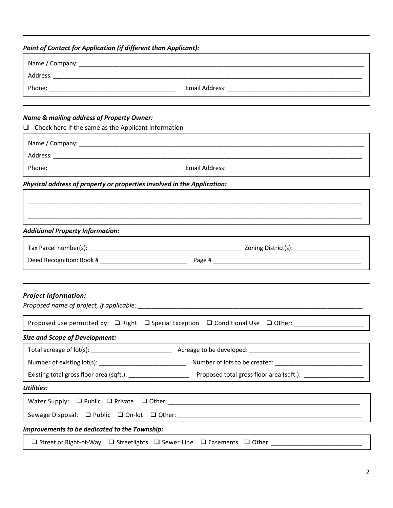# *Point of Contact for Application (if different than Applicant):*

| Name & mailing address of Property Owner:                               |                                                                                                     |
|-------------------------------------------------------------------------|-----------------------------------------------------------------------------------------------------|
| $\Box$ Check here if the same as the Applicant information              |                                                                                                     |
|                                                                         |                                                                                                     |
|                                                                         |                                                                                                     |
|                                                                         |                                                                                                     |
| Physical address of property or properties involved in the Application: |                                                                                                     |
|                                                                         |                                                                                                     |
|                                                                         |                                                                                                     |
| <b>Additional Property Information:</b>                                 |                                                                                                     |
|                                                                         |                                                                                                     |
|                                                                         |                                                                                                     |
|                                                                         |                                                                                                     |
| <b>Project Information:</b>                                             |                                                                                                     |
|                                                                         |                                                                                                     |
|                                                                         | Proposed use permitted by: □ Right □ Special Exception □ Conditional Use □ Other: _________________ |
| <b>Size and Scope of Development:</b>                                   |                                                                                                     |
|                                                                         |                                                                                                     |
|                                                                         |                                                                                                     |
|                                                                         |                                                                                                     |
| <b>Utilities:</b>                                                       |                                                                                                     |
|                                                                         |                                                                                                     |
|                                                                         |                                                                                                     |
| Improvements to be dedicated to the Township:                           |                                                                                                     |
|                                                                         | □ Street or Right-of-Way □ Streetlights □ Sewer Line □ Easements □ Other: _________________________ |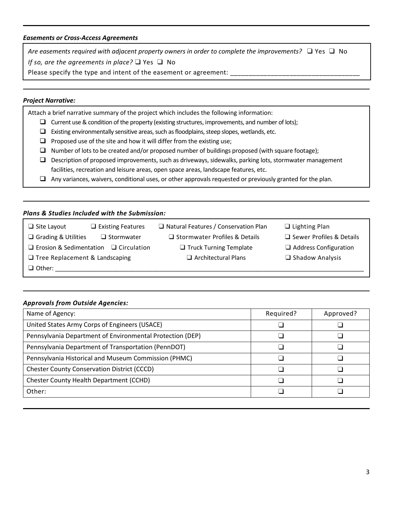#### *Easements or Cross-Access Agreements*

*Are easements required with adjacent property owners in order to complete the improvements?* ❑ Yes ❑ No *If so, are the agreements in place?* ❑ Yes ❑ No

Please specify the type and intent of the easement or agreement:

### *Project Narrative:*

Attach a brief narrative summary of the project which includes the following information:

- $\Box$  Current use & condition of the property (existing structures, improvements, and number of lots);
- $\Box$  Existing environmentally sensitive areas, such as floodplains, steep slopes, wetlands, etc.
- $\Box$  Proposed use of the site and how it will differ from the existing use;
- $\Box$  Number of lots to be created and/or proposed number of buildings proposed (with square footage);
- $\Box$  Description of proposed improvements, such as driveways, sidewalks, parking lots, stormwater management facilities, recreation and leisure areas, open space areas, landscape features, etc.
- $\Box$  Any variances, waivers, conditional uses, or other approvals requested or previously granted for the plan.

#### *Plans & Studies Included with the Submission:*

- ❑ Site Layout ❑ Existing Features ❑ Natural Features / Conservation Plan ❑ Lighting Plan
- 
- ❑ Erosion & Sedimentation ❑ Circulation ❑ Truck Turning Template ❑ Address Configuration
- ❑ Tree Replacement & Landscaping ❑ Architectural Plans ❑ Shadow Analysis
- ❑ Grading & Utilities ❑ Stormwater ❑ Stormwater Profiles & Details ❑ Sewer Profiles & Details
	- -
- 
- 
- 
- 

❑ Other: \_\_\_\_\_\_\_\_\_\_\_\_\_\_\_\_\_\_\_\_\_\_\_\_\_\_\_\_\_\_\_\_\_\_\_\_\_\_\_\_\_\_\_\_\_\_\_\_\_\_\_\_\_\_\_\_\_\_\_\_\_\_\_\_\_\_\_\_\_\_\_\_\_\_\_\_\_\_\_\_\_\_\_\_\_\_\_\_\_\_\_\_

## *Approvals from Outside Agencies:*

| Name of Agency:                                           | Required? | Approved? |
|-----------------------------------------------------------|-----------|-----------|
| United States Army Corps of Engineers (USACE)             |           |           |
| Pennsylvania Department of Environmental Protection (DEP) |           |           |
| Pennsylvania Department of Transportation (PennDOT)       |           |           |
| Pennsylvania Historical and Museum Commission (PHMC)      |           |           |
| <b>Chester County Conservation District (CCCD)</b>        |           |           |
| Chester County Health Department (CCHD)                   |           |           |
| Other:                                                    |           |           |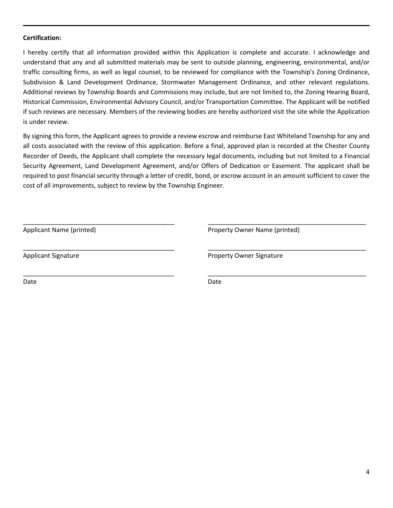#### **Certification:**

I hereby certify that all information provided within this Application is complete and accurate. I acknowledge and understand that any and all submitted materials may be sent to outside planning, engineering, environmental, and/or traffic consulting firms, as well as legal counsel, to be reviewed for compliance with the Township's Zoning Ordinance, Subdivision & Land Development Ordinance, Stormwater Management Ordinance, and other relevant regulations. Additional reviews by Township Boards and Commissions may include, but are not limited to, the Zoning Hearing Board, Historical Commission, Environmental Advisory Council, and/or Transportation Committee. The Applicant will be notified if such reviews are necessary. Members of the reviewing bodies are hereby authorized visit the site while the Application is under review.

By signing this form, the Applicant agrees to provide a review escrow and reimburse East Whiteland Township for any and all costs associated with the review of this application. Before a final, approved plan is recorded at the Chester County Recorder of Deeds, the Applicant shall complete the necessary legal documents, including but not limited to a Financial Security Agreement, Land Development Agreement, and/or Offers of Dedication or Easement. The applicant shall be required to post financial security through a letter of credit, bond, or escrow account in an amount sufficient to cover the cost of all improvements, subject to review by the Township Engineer.

Applicant Name (printed)

\_\_\_\_\_\_\_\_\_\_\_\_\_\_\_\_\_\_\_\_\_\_\_\_\_\_\_\_\_\_\_\_\_\_\_\_\_\_\_\_\_\_\_

\_\_\_\_\_\_\_\_\_\_\_\_\_\_\_\_\_\_\_\_\_\_\_\_\_\_\_\_\_\_\_\_\_\_\_\_\_\_\_\_\_\_\_

\_\_\_\_\_\_\_\_\_\_\_\_\_\_\_\_\_\_\_\_\_\_\_\_\_\_\_\_\_\_\_\_\_\_\_\_\_\_\_\_\_\_\_

Property Owner Name (printed)

\_\_\_\_\_\_\_\_\_\_\_\_\_\_\_\_\_\_\_\_\_\_\_\_\_\_\_\_\_\_\_\_\_\_\_\_\_\_\_\_\_\_\_\_\_

\_\_\_\_\_\_\_\_\_\_\_\_\_\_\_\_\_\_\_\_\_\_\_\_\_\_\_\_\_\_\_\_\_\_\_\_\_\_\_\_\_\_\_\_\_

\_\_\_\_\_\_\_\_\_\_\_\_\_\_\_\_\_\_\_\_\_\_\_\_\_\_\_\_\_\_\_\_\_\_\_\_\_\_\_\_\_\_\_\_\_

Applicant Signature

Property Owner Signature

Date

Date